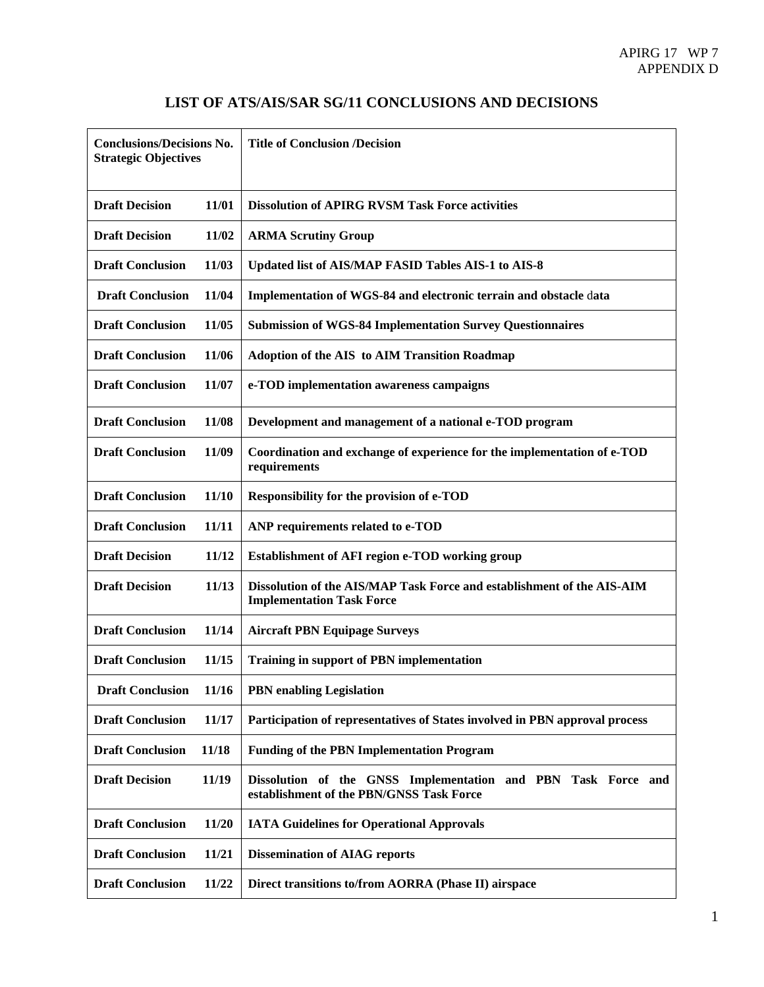| <b>Conclusions/Decisions No.</b><br><b>Strategic Objectives</b> |       | <b>Title of Conclusion /Decision</b>                                                                       |
|-----------------------------------------------------------------|-------|------------------------------------------------------------------------------------------------------------|
| <b>Draft Decision</b>                                           | 11/01 | <b>Dissolution of APIRG RVSM Task Force activities</b>                                                     |
| <b>Draft Decision</b>                                           | 11/02 | <b>ARMA Scrutiny Group</b>                                                                                 |
| <b>Draft Conclusion</b>                                         | 11/03 | Updated list of AIS/MAP FASID Tables AIS-1 to AIS-8                                                        |
| <b>Draft Conclusion</b>                                         | 11/04 | Implementation of WGS-84 and electronic terrain and obstacle data                                          |
| <b>Draft Conclusion</b>                                         | 11/05 | <b>Submission of WGS-84 Implementation Survey Questionnaires</b>                                           |
| <b>Draft Conclusion</b>                                         | 11/06 | <b>Adoption of the AIS to AIM Transition Roadmap</b>                                                       |
| <b>Draft Conclusion</b>                                         | 11/07 | e-TOD implementation awareness campaigns                                                                   |
| <b>Draft Conclusion</b>                                         | 11/08 | Development and management of a national e-TOD program                                                     |
| <b>Draft Conclusion</b>                                         | 11/09 | Coordination and exchange of experience for the implementation of e-TOD<br>requirements                    |
| <b>Draft Conclusion</b>                                         | 11/10 | <b>Responsibility for the provision of e-TOD</b>                                                           |
| <b>Draft Conclusion</b>                                         | 11/11 | ANP requirements related to e-TOD                                                                          |
| <b>Draft Decision</b>                                           | 11/12 | Establishment of AFI region e-TOD working group                                                            |
| <b>Draft Decision</b>                                           | 11/13 | Dissolution of the AIS/MAP Task Force and establishment of the AIS-AIM<br><b>Implementation Task Force</b> |
| <b>Draft Conclusion</b>                                         | 11/14 | <b>Aircraft PBN Equipage Surveys</b>                                                                       |
| <b>Draft Conclusion</b>                                         | 11/15 | <b>Training in support of PBN implementation</b>                                                           |
| <b>Draft Conclusion</b>                                         | 11/16 | <b>PBN</b> enabling Legislation                                                                            |
| <b>Draft Conclusion</b>                                         | 11/17 | Participation of representatives of States involved in PBN approval process                                |
| <b>Draft Conclusion</b>                                         | 11/18 | <b>Funding of the PBN Implementation Program</b>                                                           |
| <b>Draft Decision</b>                                           | 11/19 | Dissolution of the GNSS Implementation and PBN Task Force and<br>establishment of the PBN/GNSS Task Force  |
| <b>Draft Conclusion</b>                                         | 11/20 | <b>IATA Guidelines for Operational Approvals</b>                                                           |
| <b>Draft Conclusion</b>                                         | 11/21 | <b>Dissemination of AIAG reports</b>                                                                       |
| <b>Draft Conclusion</b>                                         | 11/22 | Direct transitions to/from AORRA (Phase II) airspace                                                       |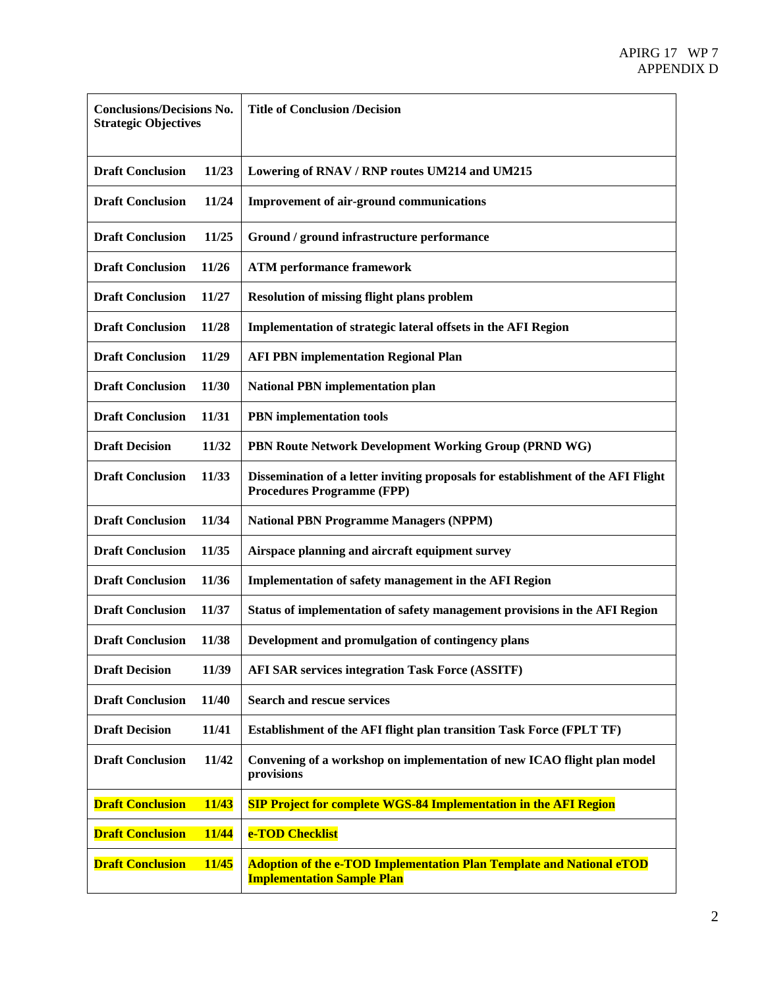| <b>Conclusions/Decisions No.</b><br><b>Strategic Objectives</b> |       | <b>Title of Conclusion /Decision</b>                                                                                  |
|-----------------------------------------------------------------|-------|-----------------------------------------------------------------------------------------------------------------------|
| <b>Draft Conclusion</b>                                         | 11/23 | Lowering of RNAV / RNP routes UM214 and UM215                                                                         |
| <b>Draft Conclusion</b>                                         | 11/24 | <b>Improvement of air-ground communications</b>                                                                       |
| <b>Draft Conclusion</b>                                         | 11/25 | Ground / ground infrastructure performance                                                                            |
| <b>Draft Conclusion</b>                                         | 11/26 | <b>ATM</b> performance framework                                                                                      |
| <b>Draft Conclusion</b>                                         | 11/27 | <b>Resolution of missing flight plans problem</b>                                                                     |
| <b>Draft Conclusion</b>                                         | 11/28 | Implementation of strategic lateral offsets in the AFI Region                                                         |
| <b>Draft Conclusion</b>                                         | 11/29 | <b>AFI PBN implementation Regional Plan</b>                                                                           |
| <b>Draft Conclusion</b>                                         | 11/30 | <b>National PBN implementation plan</b>                                                                               |
| <b>Draft Conclusion</b>                                         | 11/31 | <b>PBN</b> implementation tools                                                                                       |
| <b>Draft Decision</b>                                           | 11/32 | PBN Route Network Development Working Group (PRND WG)                                                                 |
| <b>Draft Conclusion</b>                                         | 11/33 | Dissemination of a letter inviting proposals for establishment of the AFI Flight<br><b>Procedures Programme (FPP)</b> |
| <b>Draft Conclusion</b>                                         | 11/34 | <b>National PBN Programme Managers (NPPM)</b>                                                                         |
| <b>Draft Conclusion</b>                                         | 11/35 | Airspace planning and aircraft equipment survey                                                                       |
| <b>Draft Conclusion</b>                                         | 11/36 | Implementation of safety management in the AFI Region                                                                 |
| <b>Draft Conclusion</b>                                         | 11/37 | Status of implementation of safety management provisions in the AFI Region                                            |
| <b>Draft Conclusion</b>                                         | 11/38 | Development and promulgation of contingency plans                                                                     |
| <b>Draft Decision</b>                                           | 11/39 | <b>AFI SAR services integration Task Force (ASSITF)</b>                                                               |
| <b>Draft Conclusion</b>                                         | 11/40 | <b>Search and rescue services</b>                                                                                     |
| <b>Draft Decision</b>                                           | 11/41 | <b>Establishment of the AFI flight plan transition Task Force (FPLT TF)</b>                                           |
| <b>Draft Conclusion</b>                                         | 11/42 | Convening of a workshop on implementation of new ICAO flight plan model<br>provisions                                 |
| <b>Draft Conclusion</b>                                         | 11/43 | <b>SIP Project for complete WGS-84 Implementation in the AFI Region</b>                                               |
| <b>Draft Conclusion</b>                                         | 11/44 | e-TOD Checklist                                                                                                       |
| <b>Draft Conclusion</b>                                         | 11/45 | Adoption of the e-TOD Implementation Plan Template and National eTOD<br><b>Implementation Sample Plan</b>             |